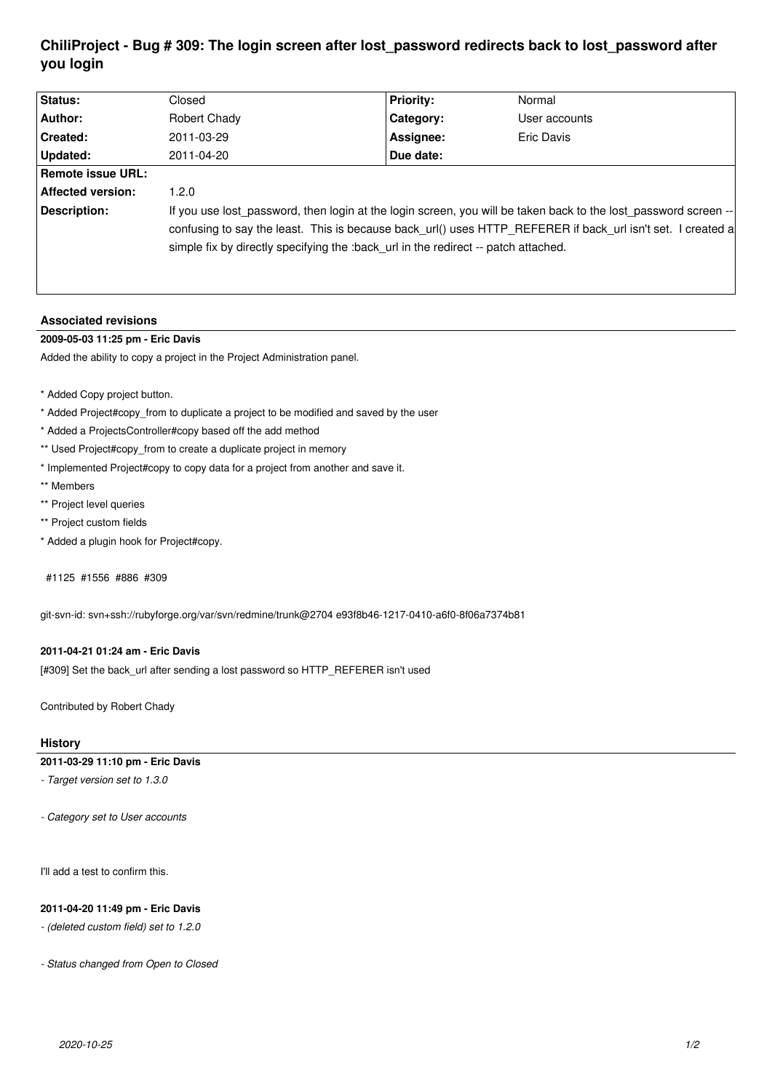# **ChiliProject - Bug # 309: The login screen after lost\_password redirects back to lost\_password after you login**

| <b>Status:</b>           | Closed                                                                                                                                                                                                                                                                                                               | <b>Priority:</b> | Normal        |
|--------------------------|----------------------------------------------------------------------------------------------------------------------------------------------------------------------------------------------------------------------------------------------------------------------------------------------------------------------|------------------|---------------|
| Author:                  | Robert Chady                                                                                                                                                                                                                                                                                                         | Category:        | User accounts |
| <b>Created:</b>          | 2011-03-29                                                                                                                                                                                                                                                                                                           | Assignee:        | Eric Davis    |
| Updated:                 | 2011-04-20                                                                                                                                                                                                                                                                                                           | Due date:        |               |
| <b>Remote issue URL:</b> |                                                                                                                                                                                                                                                                                                                      |                  |               |
| <b>Affected version:</b> | 1.2.0                                                                                                                                                                                                                                                                                                                |                  |               |
| Description:             | If you use lost password, then login at the login screen, you will be taken back to the lost password screen --<br>confusing to say the least. This is because back_url() uses HTTP_REFERER if back url isn't set. I created a<br>simple fix by directly specifying the :back_url in the redirect -- patch attached. |                  |               |

## **Associated revisions**

# **2009-05-03 11:25 pm - Eric Davis**

Added the ability to copy a project in the Project Administration panel.

- \* Added Copy project button.
- \* Added Project#copy\_from to duplicate a project to be modified and saved by the user
- \* Added a ProjectsController#copy based off the add method
- \*\* Used Project#copy from to create a duplicate project in memory
- \* Implemented Project#copy to copy data for a project from another and save it.
- \*\* Members
- \*\* Project level queries
- \*\* Project custom fields
- \* Added a plugin hook for Project#copy.

#### #1125 #1556 #886 #309

git-svn-id: svn+ssh://rubyforge.org/var/svn/redmine/trunk@2704 e93f8b46-1217-0410-a6f0-8f06a7374b81

#### **2011-04-21 01:24 am - Eric Davis**

[#309] Set the back\_url after sending a lost password so HTTP\_REFERER isn't used

Contributed by Robert Chady

# **History**

## **2011-03-29 11:10 pm - Eric Davis**

*- Target version set to 1.3.0*

*- Category set to User accounts*

I'll add a test to confirm this.

## **2011-04-20 11:49 pm - Eric Davis**

*- (deleted custom field) set to 1.2.0*

*- Status changed from Open to Closed*